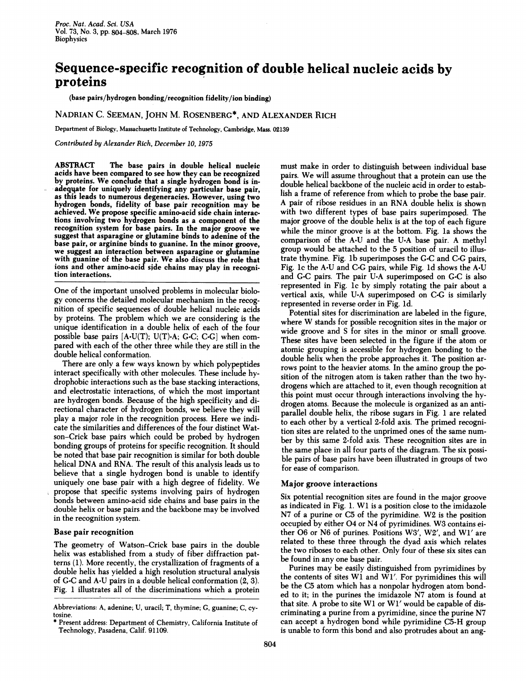# Sequence-specific recognition of double helical nucleic acids by proteins

(base pairs/hydrogen bonding/recognition fidelity/ion binding)

NADRIAN C. SEEMAN, JOHN M. ROSENBERG\*, AND ALEXANDER RICH

Department of Biology, Massachusetts Institute of Technology, Cambridge, Mass. 02139

Contributed by Alexander Rich, December 10, 1975

ABSTRACT The base pairs in double helical nucleic acids have been compared to see how they can be recognized by proteins. We conclude that <sup>a</sup> single hydrogen bond is inadequate for uniquely identifying any particular base pair, as this leads to numerous degeneracies. However, using two hydrogen bonds, fidelity of base pair recognition may be achieved. We propose specific amino-acid side chain interactions involving two hydrogen bonds as a component of the recognition system for base pairs. In the major groove we suggest that asparagine or glutamine binds to adenine of the base pair, or arginine binds to guanine. In the minor groove, we suggest an interaction between asparagine or glutamine with guanine of the base pair. We also discuss the role that ions and other amino-acid side chains may play in recognition interactions.

One of the important unsolved problems in molecular biology concerns the detailed molecular mechanism in the recognition of specific sequences of double helical nucleic acids by proteins. The problem which we are considering is the unique identification in a double helix of each of the four possible base pairs  $[A-U(T); U(T) \cdot A; G \cdot C; C \cdot G]$  when compared with each of the other three while they are still in the double helical conformation.

There are only a few ways known by which polypeptides interact specifically with other molecules. These include hydrophobic interactions such as the base stacking interactions, and electrostatic interactions, of which the most important are hydrogen bonds. Because of the high specificity and directional character of hydrogen bonds, we believe they will play a major role in the recognition process. Here we indicate the similarities and differences of the four distinct Watson-Crick base pairs which could be probed by hydrogen bonding groups of proteins for specific recognition. It should be noted that base pair recognition is similar for both double helical DNA and RNA. The result of this analysis leads us to believe that a single hydrogen bond is unable to identify uniquely one base pair with <sup>a</sup> high degree of fidelity. We propose that specific systems involving pairs of hydrogen bonds between amino-acid side chains and base pairs in the double helix or base pairs and the backbone may be involved in the recognition system.

## Base pair recognition

The geometry of Watson-Crick base pairs in the double helix was established from a study of fiber diffraction patterns (1). More recently, the crystallization of fragments of a double helix has vielded a high resolution structural analysis of G-C and A-U pairs in a double helical conformation (2, 3). Fig. <sup>1</sup> illustrates all of the discriminations which a protein

must make in order to distinguish between individual base pairs. We will assume throughout that <sup>a</sup> protein can use the double helical backbone of the nucleic acid in order to establish a frame of reference from which to probe the base pair. A pair of ribose residues in an RNA double helix is shown with two different types of base pairs superimposed. The major groove of the double helix is at the top of each figure while the minor groove is at the bottom. Fig. la shows the comparison of the A-U and the U-A base pair. A methyl group would be attached to the 5 position of uracil to illustrate thymine. Fig. lb superimposes the G-C and C-G pairs, Fig. lc the A-U and C-G pairs, while Fig. id shows the A-U and G-C pairs. The pair U-A superimposed on G-C is also represented in Fig. lc by simply rotating the pair about a vertical axis, while U-A superimposed on C-G is similarly represented in reverse order in Fig. id.

Potential sites for discrimination are labeled in the figure, where W stands for possible recognition sites in the major or wide groove and S for sites in the minor or small groove. These sites have been selected in the figure if the atom or atomic grouping is accessible for hydrogen bonding to the double helix when the probe approaches it. The position arrows point to the heavier atoms. In the amino group the position of the nitrogen atom is taken rather than the two hydrogens which are attached to it, even though recognition at this point must occur through interactions involving the hydrogen atoms. Because the molecule is organized as an antiparallel double helix, the ribose sugars in Fig. <sup>1</sup> are related to each other by a vertical 2-fold axis. The primed recognition sites are related to the unprimed ones of the same number by this same 2-fold axis. These recognition sites are in the same place in all four parts of the diagram. The six possible pairs of base pairs have been illustrated in groups of two for ease of comparison.

#### Major groove interactions

Six potential recognition sites are found in the major groove as indicated in Fig. 1. Wi is <sup>a</sup> position close to the imidazole N7 of <sup>a</sup> purine or C5 of the pyrimidine. W2 is the position occupied by either 04 or N4 of pyrimidines. W3 contains either 06 or N6 of purines. Positions W3', W2', and Wi' are related to these three through the dyad axis which relates the two riboses to each other. Only four of these six sites can be found in any one base pair.

Purines may be easily distinguished from pyrimidines by the contents of sites Wi and Wi'. For pyrimidines this will be the C5 atom which has <sup>a</sup> nonpolar hydrogen atom bonded to it; in the purines the imidazole N7 atom is found at that site. A probe to site W1 or WI' would be capable of discriminating a purine from a pyrimidine, since the purine N7 can accept a hydrogen bond while pyrimidine C5-H group is unable to form this bond and also protrudes about an ang-

Abbreviations: A, adenine; U, uracil; T, thymine; G, guanine; C, cytosine.

Present address: Department of Chemistry, California Institute of Technology, Pasadena, Calif. 91109.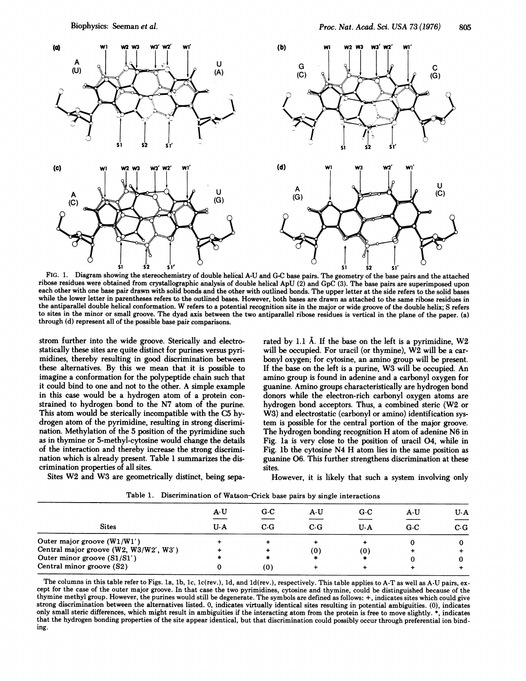

FIG. 1. Diagram showing the stereochemistry of double helical A-U and G-C base pairs. The geometry of the base pairs and the attached ribose residues were obtained from crystallographic analysis of double helical ApU (2) and GpC (3). The base pairs are superimposed upon each other with one base pair drawn with solid bonds and the other with outlined bonds. The upper letter at the side refers to the solid bases while the lower letter in parentheses refers to the outlined bases. However, both bases are drawn as attached to the same ribose residues in the antiparallel double helical conformation. W refers to <sup>a</sup> potential recognition site in the major or wide groove of the double helix; <sup>S</sup> refers to sites in the minor or small groove. The dyad axis between the two antiparallel ribose residues is vertical in the plane of the paper. (a) through (d) represent all of the possible base pair comparisons.

strom further into the wide groove. Sterically and electrostatically these sites are quite distinct for purines versus pyrimidines, thereby resulting in good discrimination between these alternatives. By this we mean that it is possible to imagine a conformation for the polypeptide chain such that it could bind to one and not to the other. A simple example in this case would be a hydrogen atom of a protein constrained to hydrogen bond to the N7 atom of the purine. This atom would be sterically incompatible with the C5 hydrogen atom of the pyrimidine, resulting in strong discrimination. Methylation of the 5 position of the pyrimidine such as in thymine or 5-methyl-cytosine would change the details of the interaction and thereby increase the strong discrimination which is already present. Table <sup>1</sup> summarizes the discrimination properties of all sites.

Sites W2 and WS are geometrically distinct, being sepa-

rated by 1.1 A. If the base on the left is <sup>a</sup> pyrimidine, W2 will be occupied. For uracil (or thymine),  $\tilde{W2}$  will be a carbonyl oxygen; for cytosine, an amino group will be present. If the base on the left is <sup>a</sup> purine, W3 will be occupied. An amino group is found in adenine and a carbonyl oxygen for guanine. Amino groups characteristically are hydrogen bond donors while the electron-rich carbonyl oxygen atoms are hydrogen bond acceptors. Thus, a combined steric (W2 or W3) and electrostatic (carbonyl or amino) identification system is possible for the central portion of the major groove. The hydrogen bonding recognition H atom of adenine N6 in Fig. la is very close to the position of uracil 04, while in Fig. lb the cytosine N4 H atom lies in the same position as guanine 06. This further strengthens discrimination at these sites.

However, it is likely that such a system involving only

|                                          | $A \cdot U$ | $G \cdot C$ | $A \cdot U$ | $G \cdot C$ | $A \cdot U$ | $U \cdot A$ |
|------------------------------------------|-------------|-------------|-------------|-------------|-------------|-------------|
| <b>Sites</b>                             | U A         | C·G         | $C \cdot G$ | U-A         | $G \cdot C$ | $C \cdot G$ |
| Outer major groove $(W1/W1')$            |             |             |             |             |             |             |
| Central major groove $(W2, W3/W2', W3')$ |             |             | (0)         | (0)         |             |             |
| Outer minor groove (S1/S1')              |             |             | *           | *           |             |             |
| Central minor groove (S2)                |             | (0)         |             |             |             |             |

Table 1. Discrimination of Watson-Crick base pairs by single interactions

The columns in this table refer to Figs. la, lb, ic, lc(rev.), ld, and ld(rev.), respectively. This table applies to A-T as well as A-U pairs, except for the case of the outer major groove. In that case the two pyrimidines, cytosine and thymine, could be distinguished because of the thymine methyl group. However, the purines would still be degenerate. The symbols are defined as follows: +, indicates sites which could give strong discrimination between the alternatives listed. 0, indicates virtually identical sites resulting in potential ambiguities. (0), indicates only small steric differences, which might result in ambiguities if the interacting atom from the protein is free to move slightly. \*, indicates that the hydrogen bonding properties of the site appear identical, but that discrimination could possibly occur through preferential ion binding.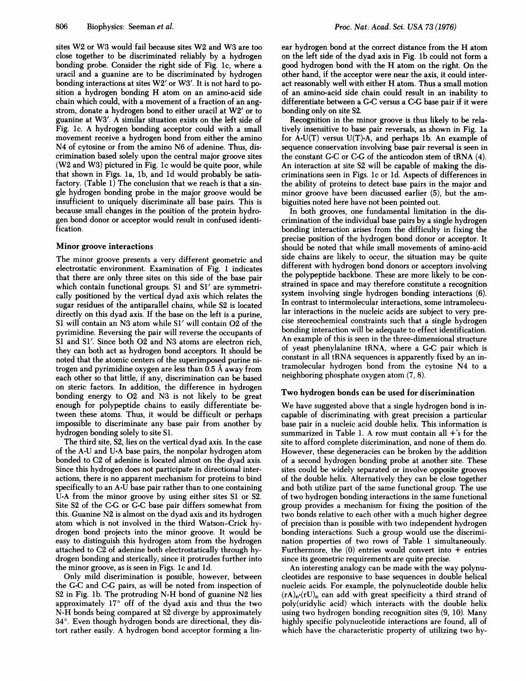sites W2 or W3 would fail because sites W2 and W3 are too close together to be discriminated reliably by a hydrogen bonding probe. Consider the right side of Fig. 1c, where a uracil and a guanine are to be discriminated by hydrogen bonding interactions at sites W2' or W3'. It is not hard to position <sup>a</sup> hydrogen bonding H atom on an amino-acid side chain which could, with a movement of a fraction of an angstrom, donate a hydrogen bond to either uracil at W2' or to guanine at WS'. A similar situation exists on the left side of Fig. 1c. A hydrogen bonding acceptor could with a small movement receive a hydrogen bond from either the amino N4 of cytosine or from the amino N6 of adenine. Thus, discrimination based solely upon the central major groove sites (W2 and W3) pictured in Fig. ic would be quite poor, while that shown in Figs. la, lb, and id would probably be satisfactory. (Table 1) The conclusion that we reach is that a single hydrogen bonding probe in the major groove would be insufficient to uniquely discriminate all base pairs. This is because small changes in the position of the protein hydrogen bond donor or acceptor would result in confused identification.

#### Minor groove interactions

The minor groove presents a very different geometric and electrostatic environment. Examination of Fig. 1 indicates that there are only three sites on this side of the base pair which contain functional groups. S1 and S1' are symmetrically positioned by the vertical dyad axis which relates the sugar residues of the antiparallel chains, while S2 is located directly on this dyad axis. If the base on the left is a purine, Si will contain an N3 atom while S1' will contain 02 of the pyrimidine. Reversing the pair will reverse the occupants of Si and Si'. Since both 02 and N3 atoms are electron rich, they can both act as hydrogen bond acceptors. It should be noted that the atomic centers of the superimposed purine nitrogen and pyrimidine oxygen are less than 0.5 A away from each other so that little, if any, discrimination can be based on steric factors. In addition, the difference in hydrogen bonding energy to 02 and N3 is not likely to be great enough for polypeptide chains to easily differentiate between these atoms. Thus, it would be difficult or perhaps impossible to discriminate any base pair from another by hydrogen bonding solely to site Si.

The third site, S2, lies on the vertical dyad axis. In the case of the A-U and U-A base pairs, the nonpolar hydrogen atom bonded to C2 of adenine is located almost on the dyad axis. Since this hydrogen does not participate in directional interactions, there is no apparent mechanism for proteins to bind specifically to an A.U base pair rather than to one containing U-A from the minor groove by using either sites Si or S2. Site S2 of the C-G or G-C base pair differs somewhat from this. Guanine N2 is almost on the dyad axis and its hydrogen atom which is not involved in the third Watson-Crick hydrogen bond projects into the minor groove. It would be easy to distinguish this hydrogen atom from the hydrogen attached to C2 of adenine both electrostatically through hydrogen bonding and sterically, since it protrudes further into the minor groove, as is seen in Figs. ic and ld.

Only mild discrimination is possible, however, between the G-C and C.G pairs, as will be noted from inspection of S2 in Fig. lb. The protruding N-H bond of guanine N2 lies approximately  $17^{\circ}$  off of the dyad axis and thus the two N-H bonds being compared at S2 diverge by approximately 34°. Even though hydrogen bonds are directional, they distort rather easily. A hydrogen bond acceptor forming <sup>a</sup> linear hydrogen bond at the correct distance from the H atom on the left side of the dyad axis in Fig. lb could not form a good hydrogen bond with the H atom on the right. On the other hand, if the acceptor were near the axis, it could interact reasonably well with either H atom. Thus <sup>a</sup> small motion of an amino-acid side chain could result in an inability to differentiate between a G-C versus a C-G base pair if it were bonding only on site S2.

Recognition in the minor groove is thus likely to be relatively insensitive to base pair reversals, as shown in Fig. la for  $A \cdot U(T)$  versus  $U(T) \cdot A$ , and perhaps 1b. An example of sequence conservation involving base pair reversal is seen in the constant G-C or C-G of the anticodon stem of  $tRNA$  (4). An interaction at site S2 will be capable of making the discriminations seen in Figs. lc or id. Aspects of differences in the ability of proteins to detect base pairs in the major and minor groove have been discussed earlier (5), but the ambiguities noted here have not been pointed out.

In both grooves, one fundamental limitation in the discrimination of the individual base pairs by a single hydrogen bonding interaction arises from the difficulty in fixing the precise position of the hydrogen bond donor or acceptor. It should be noted that while small movements of amino-acid side chains are likely to occur, the situation may be quite different with hydrogen bond donors or acceptors involving the polypeptide backbone. These are more likely to be constrained in space and may therefore constitute a recognition system involving single hydrogen bonding interactions (6). In contrast to intermolecular interactions, some intramolecular interactions in the nucleic acids are subject to very precise stereochemical constraints such that a single hydrogen bonding interaction will be adequate to effect identification. An example of this is seen in the three-dimensional structure of yeast phenylalanine tRNA, where a G-C pair which is constant in all tRNA sequences is apparently fixed by an intramolecular hydrogen bond from the cytosine N4 to a neighboring phosphate oxygen atom (7, 8).

# Two hydrogen bonds can be used for discrimination

We have suggested above that <sup>a</sup> single hydrogen bond is incapable of discriminating with great precision a particular base pair in a nucleic acid double helix. This information is summarized in Table 1. A row must contain all  $+$ 's for the site to afford complete discrimination, and none of them do. However, these degeneracies can be broken by the addition of a second hydrogen bonding probe at another site. These sites could be widely separated or involve opposite grooves of the double helix. Alternatively they can be close together and both utilize part of the same functional group. The use of two hydrogen bonding interactions in the same functional group provides a mechanism for fixing the position of the two bonds relative to each other with <sup>a</sup> much higher degree of precision than is possible with two independent hydrogen bonding interactions. Such a group would use the discrimination properties of two rows of Table <sup>1</sup> simultaneously. Furthermore, the  $(0)$  entries would convert into  $+$  entries since its geometric requirements are quite precise.

An interesting analogy can be made with the way polynucleotides are responsive to base sequences in double helical nucleic acids. For example, the polynucleotide double helix  $(rA)<sub>n</sub>(rU)<sub>n</sub>$  can add with great specificity a third strand of poly(uridylic acid) which interacts with the double helix using two hydrogen bonding recognition sites (9, 10). Many highly specific polynucleotide interactions are found, all of which have the characteristic property of utilizing two hy-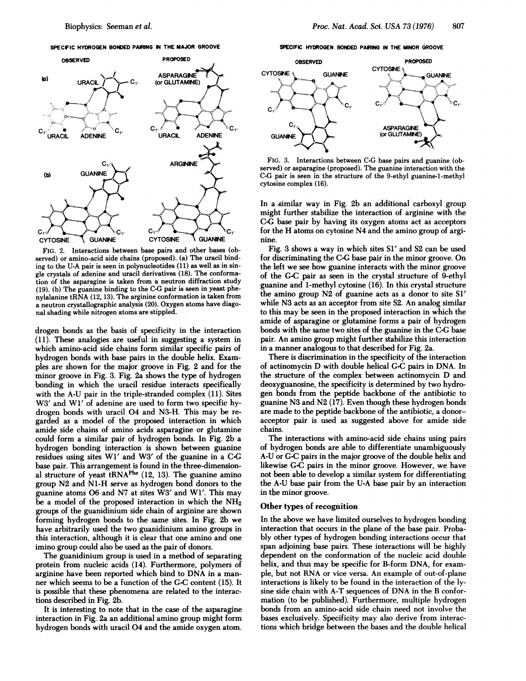



FIG. 2. Interactions between base pairs and other bases (observed) or amino-acid side chains (proposed). (a) The uracil binding to the U-A pair is seen in polynucleotides (11) as well as in single crystals of adenine and uracil derivatives (18). The conformation of the asparagine is taken from a neutron diffraction study (19). (b) The guanine binding to the C.G pair is seen in yeast phenylalanine tRNA (12, 13). The arginine conformation is taken from a neutron crystallographic analysis (20). Oxygen atoms have diagonal shading while nitrogen atoms are stippled.

drogen bonds as the basis of specificity in the interaction (11). These analogies are useful in suggesting a system in which amino-acid side chains form similar specific pairs of hydrogen bonds with base pairs in the double helix. Examples are shown for the major groove in Fig. 2 and for the minor groove in Fig. 3. Fig. 2a shows the type of hydrogen bonding in which the uracil residue interacts specifically with the A-U pair in the triple-stranded complex (11). Sites W3' and Wi' of adenine are used to form two specific hydrogen bonds with uracil 04 and N3-H. This may be regarded as a model of the proposed interaction in which amide side chains of amino acids asparagine or glutamine could form a similar pair of hydrogen bonds. In Fig. 2b a hydrogen bonding interaction is shown between guanine residues using sites Wi' and W3' of the guanine in a C-G base pair. This arrangement is found in the three-dimensional structure of yeast tRNAPhe (12, 13). The guanine amino group N2 and Ni-H serve as hydrogen bond donors to the guanine atoms 06 and N7 at sites W3' and W1'. This may be a model of the proposed interaction in which the NH<sub>2</sub> groups of the guanidinium side chain of arginine are shown forming hydrogen bonds to the same sites. In Fig. 2b we have arbitrarily used the two guanidinium amino groups in this interaction, although it is clear that one amino and one imino group could also be used as the pair of donors.

The guanidinium group is used in a method of separating protein from nucleic acids (14). Furthermore, polymers of arginine have been reported which bind to DNA in <sup>a</sup> manner which seems to be a function of the G-C content (15). It is possible that these phenomena are related to the interactions described in Fig. 2b.

It is interesting to note that in the case of the asparagine interaction in Fig. 2a an additional amino group might form hydrogen bonds with uracil 04 and the amide oxygen atom.

SPECIFIC HYDROGEN BONDED PAIRING IN THE MINOR GROOVE



FIG. 3. Interactions between C-G base pairs and guanine (observed) or asparagine (proposed). The guanine interaction with the C-G pair is seen in the structure of the 9-ethyl guanine-1-methyl cytosine complex (16).

In a similar way in Fig. 2b an additional carboxyl group might further stabilize the interaction of arginine with the C-G base pair by having its oxygen atoms act as acceptors for the H atoms on cytosine N4 and the amino group of arginine.

Fig. 3 shows a way in which sites Si' and S2 can be used for discriminating the C-G base pair in the minor groove. On the left we see how guanine interacts with the minor groove of the G-C pair as seen in the crystal structure of 9-ethyl guanine and 1-methyl cytosine (16). In this crystal structure the amino group N2 of guanine acts as a donor to site Si' while N3 acts as an acceptor from site S2. An analog similar to this may be seen in the proposed interaction in which the amide of asparagine or glutamine forms a pair of hydrogen bonds with the same two sites of the guanine in the C-G base pair. An amino group might further stabilize this interaction in a manner analogous to that described for Fig. 2a.

There is discrimination in the specificity of the interaction of actinomycin D with double helical G-C pairs in DNA. In the structure of the complex between actinomycin D and deoxyguanosine, the specificity is determined by two hydrogen bonds from the peptide backbone of the antibiotic to guanine N3 and N2 (17). Even though these hydrogen bonds are made to the peptide backbone of the antibiotic, a donoracceptor pair is used as suggested above for amide side chains.

The interactions with amino-acid side chains using pairs of hydrogen bonds are able to differentiate unambiguously A-U or G-C pairs in the major groove of the double helix and likewise G-C pairs in the minor groove. However, we have not been able to develop a similar system for differentiating the A-U base pair from the U-A base pair by an interaction in the minor groove.

## Other types of recognition

In the above we have limited ourselves to hydrogen bonding interaction that occurs in the plane of the base pair. Probably other types of hydrogen bonding interactions occur that span adjoining base pairs. These interactions will be highly dependent on the conformation of the nucleic acid double helix, and thus may be specific for B-form DNA, for example, but not RNA or vice versa. An example of out-of-plane interactions is likely to be found in the interaction of the lysine side chain with A-T sequences of DNA in the B conformation (to be published). Furthermore, multiple hydrogen bonds from an amino-acid side chain need not involve the bases exclusively. Specificity may also derive from interactions which bridge between the bases and the double helical